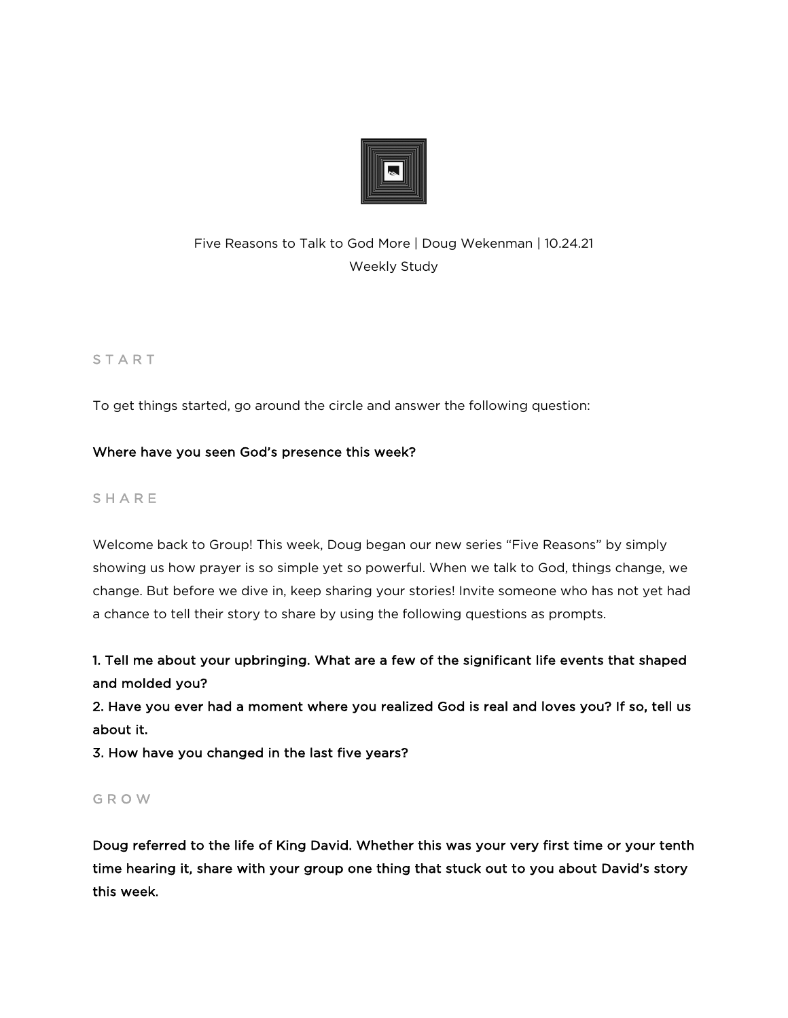

# Five Reasons to Talk to God More | Doug Wekenman | 10.24.21 Weekly Study

# **START**

To get things started, go around the circle and answer the following question:

## Where have you seen God's presence this week?

# **SHARE**

Welcome back to Group! This week, Doug began our new series "Five Reasons" by simply showing us how prayer is so simple yet so powerful. When we talk to God, things change, we change. But before we dive in, keep sharing your stories! Invite someone who has not yet had a chance to tell their story to share by using the following questions as prompts.

1. Tell me about your upbringing. What are a few of the significant life events that shaped and molded you?

2. Have you ever had a moment where you realized God is real and loves you? If so, tell us about it.

3. How have you changed in the last five years?

#### G R O W

Doug referred to the life of King David. Whether this was your very first time or your tenth time hearing it, share with your group one thing that stuck out to you about David's story this week.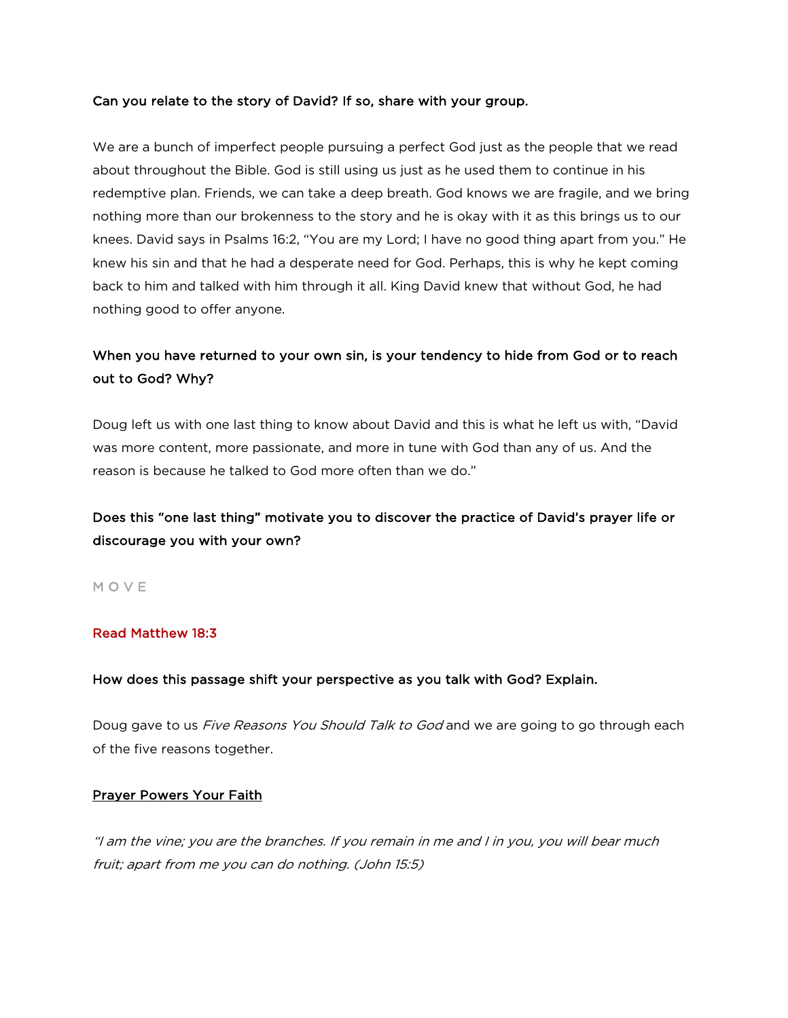#### Can you relate to the story of David? If so, share with your group.

We are a bunch of imperfect people pursuing a perfect God just as the people that we read about throughout the Bible. God is still using us just as he used them to continue in his redemptive plan. Friends, we can take a deep breath. God knows we are fragile, and we bring nothing more than our brokenness to the story and he is okay with it as this brings us to our knees. David says in Psalms 16:2, "You are my Lord; I have no good thing apart from you." He knew his sin and that he had a desperate need for God. Perhaps, this is why he kept coming back to him and talked with him through it all. King David knew that without God, he had nothing good to offer anyone.

# When you have returned to your own sin, is your tendency to hide from God or to reach out to God? Why?

Doug left us with one last thing to know about David and this is what he left us with, "David was more content, more passionate, and more in tune with God than any of us. And the reason is because he talked to God more often than we do."

# Does this "one last thing" motivate you to discover the practice of David's prayer life or discourage you with your own?

M O V E

#### Read Matthew 18:3

#### How does this passage shift your perspective as you talk with God? Explain.

Doug gave to us *Five Reasons You Should Talk to God* and we are going to go through each of the five reasons together.

#### Prayer Powers Your Faith

"I am the vine; you are the branches. If you remain in me and I in you, you will bear much fruit; apart from me you can do nothing. (John 15:5)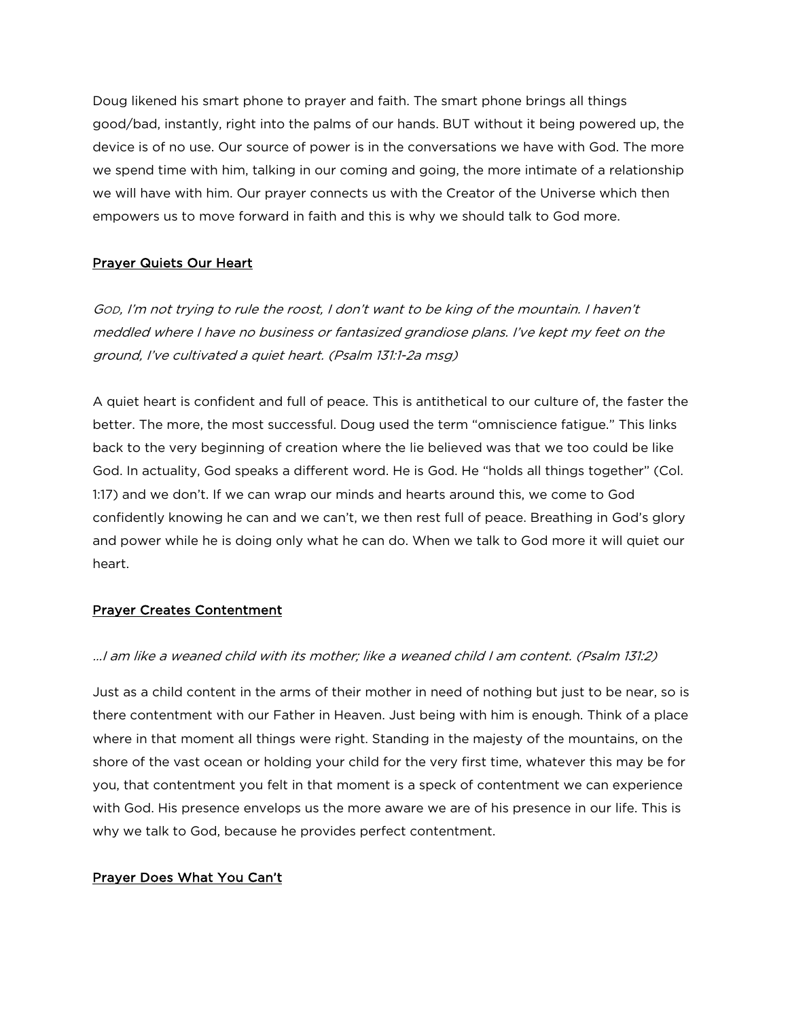Doug likened his smart phone to prayer and faith. The smart phone brings all things good/bad, instantly, right into the palms of our hands. BUT without it being powered up, the device is of no use. Our source of power is in the conversations we have with God. The more we spend time with him, talking in our coming and going, the more intimate of a relationship we will have with him. Our prayer connects us with the Creator of the Universe which then empowers us to move forward in faith and this is why we should talk to God more.

# Prayer Quiets Our Heart

GOD, I'm not trying to rule the roost, I don't want to be king of the mountain. I haven't meddled where I have no business or fantasized grandiose plans. I've kept my feet on the ground, I've cultivated a quiet heart. (Psalm 131:1-2a msg)

A quiet heart is confident and full of peace. This is antithetical to our culture of, the faster the better. The more, the most successful. Doug used the term "omniscience fatigue." This links back to the very beginning of creation where the lie believed was that we too could be like God. In actuality, God speaks a different word. He is God. He "holds all things together" (Col. 1:17) and we don't. If we can wrap our minds and hearts around this, we come to God confidently knowing he can and we can't, we then rest full of peace. Breathing in God's glory and power while he is doing only what he can do. When we talk to God more it will quiet our heart.

## Prayer Creates Contentment

#### …I am like a weaned child with its mother; like a weaned child I am content. (Psalm 131:2)

Just as a child content in the arms of their mother in need of nothing but just to be near, so is there contentment with our Father in Heaven. Just being with him is enough. Think of a place where in that moment all things were right. Standing in the majesty of the mountains, on the shore of the vast ocean or holding your child for the very first time, whatever this may be for you, that contentment you felt in that moment is a speck of contentment we can experience with God. His presence envelops us the more aware we are of his presence in our life. This is why we talk to God, because he provides perfect contentment.

#### Prayer Does What You Can't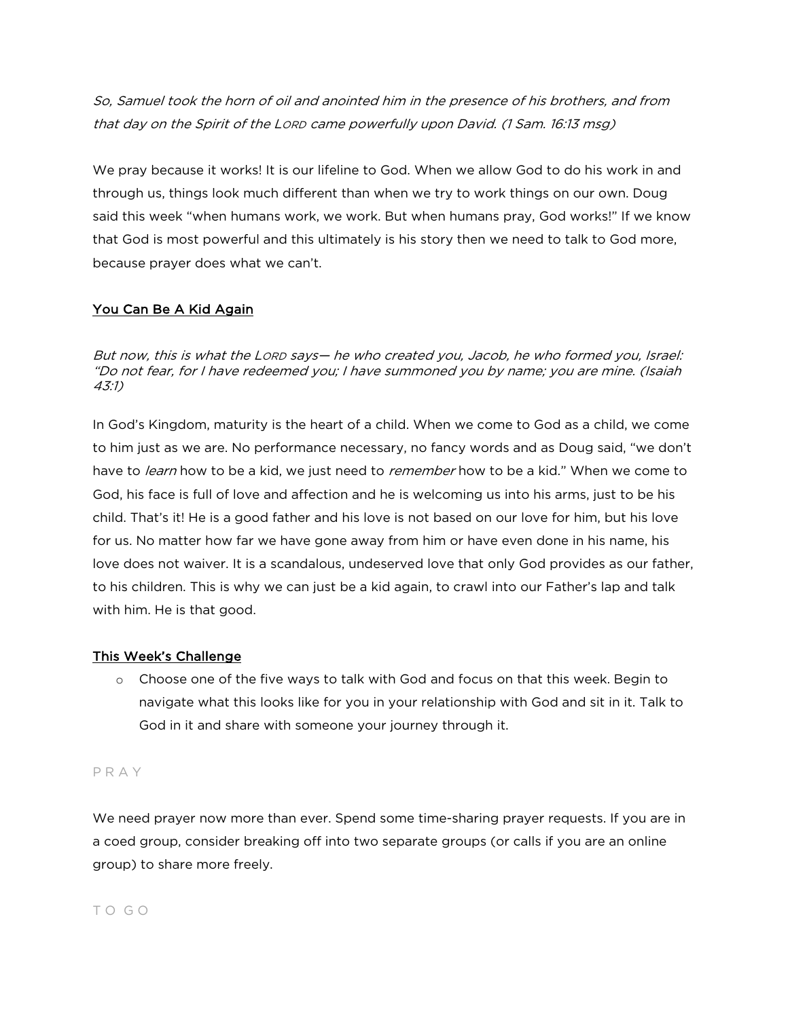So, Samuel took the horn of oil and anointed him in the presence of his brothers, and from that day on the Spirit of the LORD came powerfully upon David. (1 Sam. 16:13 msg)

We pray because it works! It is our lifeline to God. When we allow God to do his work in and through us, things look much different than when we try to work things on our own. Doug said this week "when humans work, we work. But when humans pray, God works!" If we know that God is most powerful and this ultimately is his story then we need to talk to God more, because prayer does what we can't.

# You Can Be A Kid Again

But now, this is what the LORD says— he who created you, Jacob, he who formed you, Israel: "Do not fear, for I have redeemed you; I have summoned you by name; you are mine. (Isaiah 43:1)

In God's Kingdom, maturity is the heart of a child. When we come to God as a child, we come to him just as we are. No performance necessary, no fancy words and as Doug said, "we don't have to *learn* how to be a kid, we just need to *remember* how to be a kid." When we come to God, his face is full of love and affection and he is welcoming us into his arms, just to be his child. That's it! He is a good father and his love is not based on our love for him, but his love for us. No matter how far we have gone away from him or have even done in his name, his love does not waiver. It is a scandalous, undeserved love that only God provides as our father, to his children. This is why we can just be a kid again, to crawl into our Father's lap and talk with him. He is that good.

## This Week's Challenge

o Choose one of the five ways to talk with God and focus on that this week. Begin to navigate what this looks like for you in your relationship with God and sit in it. Talk to God in it and share with someone your journey through it.

## P R A Y

We need prayer now more than ever. Spend some time-sharing prayer requests. If you are in a coed group, consider breaking off into two separate groups (or calls if you are an online group) to share more freely.

## T O G O